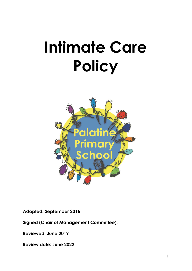# **Intimate Care Policy**



**Adopted: September 2015** 

**Signed (Chair of Management Committee):** 

**Reviewed: June 2019**

**Review date: June 2022**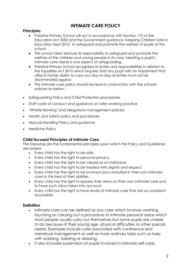# **INTIMATE CARE POLICY**

# **Principles**

- Palatine Primary School will act in accordance with Section 175 of the Education Act 2002 and the Government guidance 'Keeping Children Safe in Education Sept 2016' to safeguard and promote the welfare of pupils at this school.
- This school takes seriously its responsibility to safeguard and promote the welfare of the children and young people in its care. Meeting a pupil's intimate care needs is one aspect of safeguarding.
- Palatine Primary School recognises its duties and responsibilities in relation to the Equalities Act 2010 which requires that any pupil with an impairment that affects his/her ability to carry out day-to-day activities must not be discriminated against.
- This intimate care policy should be read in conjunction with the schools' policies as below :
- Safeguarding Policy and Child Protection procedures
- Staff code of conduct and guidance on safer working practice
- 'Whistle-blowing' and allegations management policies
- Health and Safety policy and procedures
- Manual Handling Policy and guidance
- Medicine Policy

## **Child focused Principles of Intimate Care**

The following are the fundamental principles upon which the Policy and Guidelines are based:

- Every child has the right to be safe.
- Every child has the right to personal privacy.
- Every child has the right to be valued as an individual.
- Every child has the right to be treated with dignity and respect.
- Every child has the right to be involved and consulted in their own intimate care to the best of their abilities.
- Every child has the right to express their views on their own intimate care and to have such views taken into account.
- Every child has the right to have levels of intimate care that are as consistent as possible.

## **Definition**

- Intimate care can be defined as any care which involves washing, touching or carrying out a procedure to intimate personal areas which most people usually carry out themselves but some pupils are unable to do because of their young age, physical difficulties or other special needs. Examples include care associated with continence and menstrual management as well as more ordinary tasks such as help with washing, toileting or dressing.
- It also includes supervision of pupils involved in intimate self-care.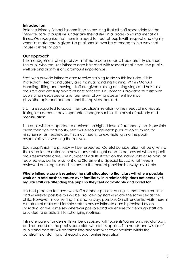#### **Introduction**

Palatine Primary School is committed to ensuring that all staff responsible for the intimate care of pupils will undertake their duties in a professional manner at all times. We recognise that there is a need to treat all pupils with respect and dignity when intimate care is given. No pupil should ever be attended to in a way that causes distress or pain.

#### **Our approach**

The management of all pupils with intimate care needs will be carefully planned. The pupil who requires intimate care is treated with respect at all times; the pupil's welfare and dignity is of paramount importance.

Staff who provide intimate care receive training to do so this includes; Child Protection, Health and Safety and manual handling training. Within Manual Handling (lifting and moving) staff are given training on using slings and hoists as required and are fully aware of best practice. Equipment is provided to assist with pupils who need special arrangements following assessment from our physiotherapist and occupational therapist as required.

Staff are supported to adapt their practice in relation to the needs of individuals taking into account developmental changes such as the onset of puberty and menstruation.

The pupil will be supported to achieve the highest level of autonomy that is possible given their age and ability. Staff will encourage each pupil to do as much for him/her self as he/she can. This may mean, for example, giving the pupil responsibility for washing themselves.

Each pupil's right to privacy will be respected. Careful consideration will be given to their situation to determine how many staff might need to be present when a pupil requires intimate care. The number of adults stated on the individual's care plan (as required e.g. catheterisation) and Statement of Special Educational Need is reviewed on a regular basis to ensure the correct provision is always available.

#### **Where intimate care is required the staff allocated to that class will where possible work on a rota basis to ensure over familiarity in a relationship does not occur, yet, regular staff are attending the pupil so they feel comfortable and cared for.**

It is best practice to have two staff members present during intimate care routines and wherever possible this will be provided by staff who are the same sex as the child. However, in our setting this is not always possible. On all residential visits there is a mixture of male and female staff to ensure intimate care is provided by an individual of the same sex wherever possible and we ensure that enough staff are provided to enable 2:1 for changing routines.

Intimate care arrangements will be discussed with parents/carers on a regular basis and recorded on the pupil's care plan where this applies. The needs and wishes of pupils and parents will be taken into account wherever possible within the constraints of staffing and equal opportunities legislation.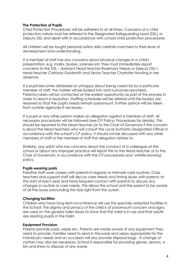#### **The Protection of Pupils**

Child Protection Procedures will be adhered to at all times. Concerns of a child protection nature must be referred to the Designated Safeguarding Lead (DSL) or Deputy DSL and dealt with in accordance with school child protection procedures.

All children will be taught personal safety skills carefully matched to their level of development and understanding.

If a member of staff has any concerns about physical changes in a child's presentation, e.g. marks, bruises, soreness etc they must immediately report concerns to the DSL – Assistant Head teacher Rosemary Needs or Deputy DSL's Head teacher Catriona Goldsmith and Senior Teacher Charlotte Howting in her absence.

If a pupil becomes distressed or unhappy about being cared for by a particular member of staff, the matter will be looked into and outcomes recorded. Parents/carers will be contacted at the earliest opportunity as part of this process in order to reach a resolution. Staffing schedules will be altered until the issue(s) are resolved so that the pupil's needs remain paramount. Further advice will be taken from outside agencies if necessary.

If a pupil or any other person makes an allegation against a member of staff, all necessary procedures will be followed (see CP Policy/ Procedures for details). This should be reported to the Head teacher (or to the Chair of Governors if the concern is about the Head teacher) who will consult the Local Authority Designated Officer in accordance with the school's CP policy. It should not be discussed with any other members of staff or the member of staff the allegation relates to.

Similarly, any adult who has concerns about the conduct of a colleague at the school or about any improper practice will report this to the Head teacher or to the Chair of Governors, in accordance with the CP procedures and 'whistle-blowing' policy.

#### **Pupils wearing pads**

Palatine staff work closely with parents in regards to intimate care routines. Class teachers and support staff will discuss care needs and timing issues with parents at the start of each year and have frequent contact with parents to discuss any changes in routine or care needs. This allows the school and the parent to be aware of all the issues surrounding this task right from the outset.

#### **Changing facilities**

Children who have long-term incontinence will use the specially adapted facilities in the School. The dignity and privacy of the child is of paramount concern and signs are used on the general toilet doors to show that the toilet is in use and that adults are assisting pupils in the toilet.

#### **Equipment Provision**

Parents provide pads, wipes etc. Parents are made aware of any equipment they need to provide. Families need to send in the pads and wipes appropriate for the individual's needs and on occasion will also provide disposal bags. A change of clothes may also be necessary. School is responsible for providing gloves, aprons, a bin and liners to dispose of any waste.